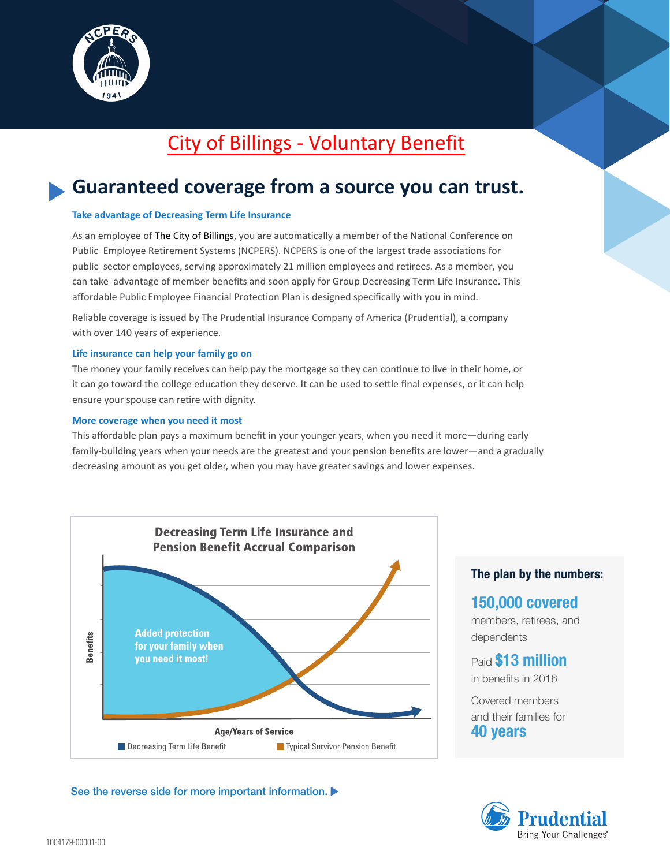

# City of Billings - Voluntary Benefit

# **Guaranteed coverage from a source you can trust.**

### **Take advantage of Decreasing Term Life Insurance**

As an employee of The City of Billings, you are automatically a member of the National Conference on Public Employee Retirement Systems (NCPERS). NCPERS is one of the largest trade associations for public sector employees, serving approximately 21 million employees and retirees. As a member, you can take advantage of member benefits and soon apply for Group Decreasing Term Life Insurance. This affordable Public Employee Financial Protection Plan is designed specifically with you in mind.

Reliable coverage is issued by The Prudential Insurance Company of America (Prudential), a company with over 140 years of experience.

### **Life insurance can help your family go on**

The money your family receives can help pay the mortgage so they can continue to live in their home, or it can go toward the college education they deserve. It can be used to settle final expenses, or it can help ensure your spouse can retire with dignity.

### **More coverage when you need it most**

This affordable plan pays a maximum benefit in your younger years, when you need it more—during early family-building years when your needs are the greatest and your pension benefits are lower—and a gradually decreasing amount as you get older, when you may have greater savings and lower expenses.



### See the reverse side for more important information.

### **The plan by the numbers:**

## **150,000 covered**

members, retirees, and dependents

Paid **\$13 million** in benefits in 2016

Covered members and their families for **40 years**

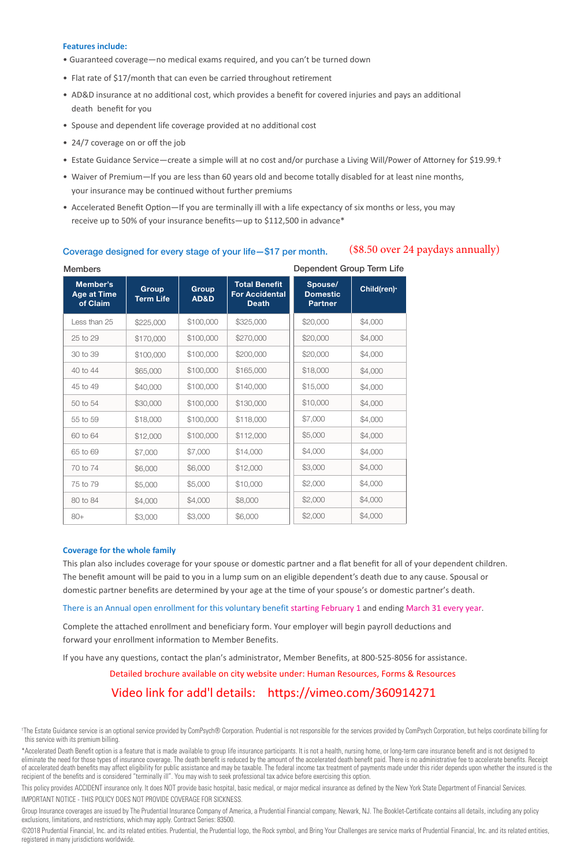#### **Features include:**

- Guaranteed coverage—no medical exams required, and you can't be turned down
- Flat rate of \$17/month that can even be carried throughout retirement
- AD&D insurance at no additional cost, which provides a benefit for covered injuries and pays an additional death benefit for you
- Spouse and dependent life coverage provided at no additional cost
- 24/7 coverage on or off the job
- Estate Guidance Service—create a simple will at no cost and/or purchase a Living Will/Power of Attorney for \$19.99.†

(\$8.50 over 24 paydays annually)

- Waiver of Premium—If you are less than 60 years old and become totally disabled for at least nine months, your insurance may be continued without further premiums
- Accelerated Benefit Option—If you are terminally ill with a life expectancy of six months or less, you may receive up to 50% of your insurance benefits—up to \$112,500 in advance\*

| <b>Members</b>                             |                           | Dependent Group Term Life |                                                               |                                              |             |
|--------------------------------------------|---------------------------|---------------------------|---------------------------------------------------------------|----------------------------------------------|-------------|
| Member's<br><b>Age at Time</b><br>of Claim | Group<br><b>Term Life</b> | Group<br>AD&D             | <b>Total Benefit</b><br><b>For Accidental</b><br><b>Death</b> | Spouse/<br><b>Domestic</b><br><b>Partner</b> | Child(ren)* |
| Less than 25                               | \$225,000                 | \$100,000                 | \$325,000                                                     | \$20,000                                     | \$4,000     |
| 25 to 29                                   | \$170,000                 | \$100,000                 | \$270,000                                                     | \$20,000                                     | \$4,000     |
| 30 to 39                                   | \$100,000                 | \$100,000                 | \$200,000                                                     | \$20,000                                     | \$4,000     |
| 40 to 44                                   | \$65,000                  | \$100,000                 | \$165,000                                                     | \$18,000                                     | \$4,000     |
| 45 to 49                                   | \$40,000                  | \$100,000                 | \$140,000                                                     | \$15,000                                     | \$4,000     |
| 50 to 54                                   | \$30,000                  | \$100,000                 | \$130,000                                                     | \$10,000                                     | \$4,000     |
| 55 to 59                                   | \$18,000                  | \$100,000                 | \$118,000                                                     | \$7,000                                      | \$4,000     |
| 60 to 64                                   | \$12,000                  | \$100,000                 | \$112,000                                                     | \$5,000                                      | \$4,000     |
| 65 to 69                                   | \$7,000                   | \$7,000                   | \$14,000                                                      | \$4,000                                      | \$4,000     |
| 70 to 74                                   | \$6,000                   | \$6,000                   | \$12,000                                                      | \$3,000                                      | \$4,000     |
| 75 to 79                                   | \$5,000                   | \$5,000                   | \$10,000                                                      | \$2,000                                      | \$4,000     |
| 80 to 84                                   | \$4,000                   | \$4,000                   | \$8,000                                                       | \$2,000                                      | \$4,000     |
| $80+$                                      | \$3,000                   | \$3,000                   | \$6,000                                                       | \$2,000                                      | \$4,000     |

### Coverage designed for every stage of your life—\$17 per month.

#### **Coverage for the whole family**

This plan also includes coverage for your spouse or domestic partner and a flat benefit for all of your dependent children. The benefit amount will be paid to you in a lump sum on an eligible dependent's death due to any cause. Spousal or domestic partner benefits are determined by your age at the time of your spouse's or domestic partner's death.

There is an Annual open enrollment for this voluntary benefit starting February 1 and ending March 31 every year.

Complete the attached enrollment and beneficiary form. Your employer will begin payroll deductions and forward your enrollment information to Member Benefits.

If you have any questions, contact the plan's administrator, Member Benefits, at 800-525-8056 for assistance.

Detailed brochure available on city website under: Human Resources, Forms & Resources

### Video link for add'l details: https://vimeo.com/360914271

† The Estate Guidance service is an optional service provided by ComPsych® Corporation. Prudential is not responsible for the services provided by ComPsych Corporation, but helps coordinate billing for this service with its premium billing.

\*Accelerated Death Benefit option is a feature that is made available to group life insurance participants. It is not a health, nursing home, or long-term care insurance benefit and is not designed to eliminate the need for those types of insurance coverage. The death benefit is reduced by the amount of the accelerated death benefit paid. There is no administrative fee to accelerate benefits. Receipt of accelerated death benefits may affect eligibility for public assistance and may be taxable. The federal income tax treatment of payments made under this rider depends upon whether the insured is the recipient of the benefits and is considered "terminally ill". You may wish to seek professional tax advice before exercising this option.

This policy provides ACCIDENT insurance only. It does NOT provide basic hospital, basic medical, or major medical insurance as defined by the New York State Department of Financial Services. IMPORTANT NOTICE - THIS POLICY DOES NOT PROVIDE COVERAGE FOR SICKNESS.

Group Insurance coverages are issued by The Prudential Insurance Company of America, a Prudential Financial company, Newark, NJ. The Booklet-Certificate contains all details, including any policy exclusions, limitations, and restrictions, which may apply. Contract Series: 83500.

©2018 Prudential Financial, Inc. and its related entities. Prudential, the Prudential logo, the Rock symbol, and Bring Your Challenges are service marks of Prudential Financial, Inc. and its related entities, registered in many jurisdictions worldwide.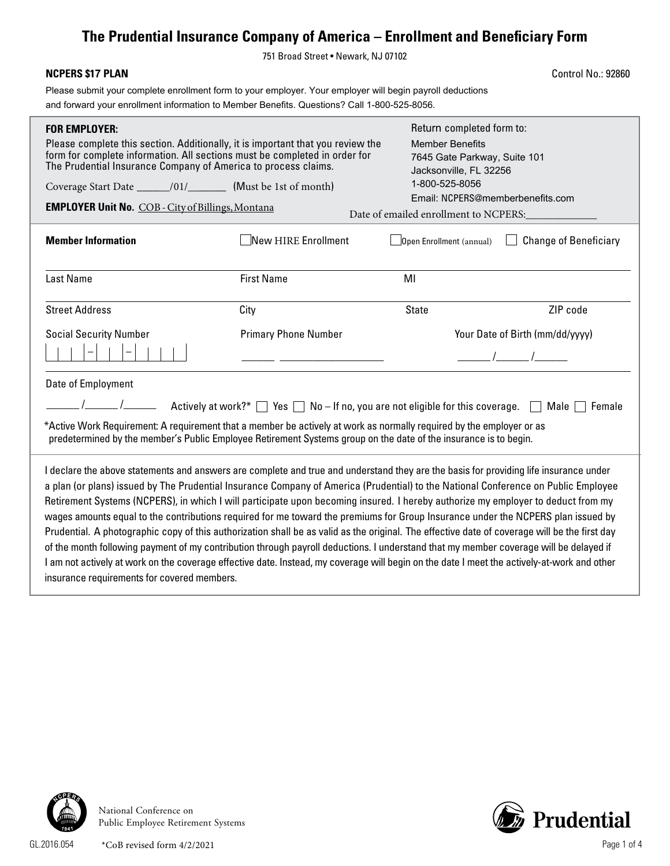## **The Prudential Insurance Company of America – Enrollment and Beneficiary Form**

751 Broad Street • Newark, NJ 07102

| <b>NCPERS \$17 PLAN</b>                                                                                                                                                                                                                                                                                                                                                                                                                                                                                                                                                                                                                                                                                                                                                                                                                                                                                                                                                                                                                     |                             |                                                                                                                                                                                                              | <b>Control No.: 92860</b>       |  |  |
|---------------------------------------------------------------------------------------------------------------------------------------------------------------------------------------------------------------------------------------------------------------------------------------------------------------------------------------------------------------------------------------------------------------------------------------------------------------------------------------------------------------------------------------------------------------------------------------------------------------------------------------------------------------------------------------------------------------------------------------------------------------------------------------------------------------------------------------------------------------------------------------------------------------------------------------------------------------------------------------------------------------------------------------------|-----------------------------|--------------------------------------------------------------------------------------------------------------------------------------------------------------------------------------------------------------|---------------------------------|--|--|
| Please submit your complete enrollment form to your employer. Your employer will begin payroll deductions<br>and forward your enrollment information to Member Benefits. Questions? Call 1-800-525-8056.                                                                                                                                                                                                                                                                                                                                                                                                                                                                                                                                                                                                                                                                                                                                                                                                                                    |                             |                                                                                                                                                                                                              |                                 |  |  |
| <b>FOR EMPLOYER:</b><br>Please complete this section. Additionally, it is important that you review the<br>form for complete information. All sections must be completed in order for<br>The Prudential Insurance Company of America to process claims.<br><b>EMPLOYER Unit No. COB - City of Billings, Montana</b>                                                                                                                                                                                                                                                                                                                                                                                                                                                                                                                                                                                                                                                                                                                         |                             | Return completed form to:<br><b>Member Benefits</b><br>7645 Gate Parkway, Suite 101<br>Jacksonville, FL 32256<br>1-800-525-8056<br>Email: NCPERS@memberbenefits.com<br>Date of emailed enrollment to NCPERS: |                                 |  |  |
| <b>Member Information</b>                                                                                                                                                                                                                                                                                                                                                                                                                                                                                                                                                                                                                                                                                                                                                                                                                                                                                                                                                                                                                   | New HIRE Enrollment         | $\Box$ Open Enrollment (annual)                                                                                                                                                                              | <b>Change of Beneficiary</b>    |  |  |
| <b>Last Name</b>                                                                                                                                                                                                                                                                                                                                                                                                                                                                                                                                                                                                                                                                                                                                                                                                                                                                                                                                                                                                                            | <b>First Name</b>           | MI                                                                                                                                                                                                           |                                 |  |  |
| <b>Street Address</b>                                                                                                                                                                                                                                                                                                                                                                                                                                                                                                                                                                                                                                                                                                                                                                                                                                                                                                                                                                                                                       | City                        | <b>State</b>                                                                                                                                                                                                 | ZIP code                        |  |  |
| <b>Social Security Number</b>                                                                                                                                                                                                                                                                                                                                                                                                                                                                                                                                                                                                                                                                                                                                                                                                                                                                                                                                                                                                               | <b>Primary Phone Number</b> |                                                                                                                                                                                                              | Your Date of Birth (mm/dd/yyyy) |  |  |
|                                                                                                                                                                                                                                                                                                                                                                                                                                                                                                                                                                                                                                                                                                                                                                                                                                                                                                                                                                                                                                             |                             |                                                                                                                                                                                                              | $\frac{1}{\sqrt{2}}$            |  |  |
| Date of Employment<br>Female<br>$\blacksquare$                                                                                                                                                                                                                                                                                                                                                                                                                                                                                                                                                                                                                                                                                                                                                                                                                                                                                                                                                                                              |                             |                                                                                                                                                                                                              |                                 |  |  |
| *Active Work Requirement: A requirement that a member be actively at work as normally required by the employer or as<br>predetermined by the member's Public Employee Retirement Systems group on the date of the insurance is to begin.                                                                                                                                                                                                                                                                                                                                                                                                                                                                                                                                                                                                                                                                                                                                                                                                    |                             |                                                                                                                                                                                                              |                                 |  |  |
| I declare the above statements and answers are complete and true and understand they are the basis for providing life insurance under<br>a plan (or plans) issued by The Prudential Insurance Company of America (Prudential) to the National Conference on Public Employee<br>Retirement Systems (NCPERS), in which I will participate upon becoming insured. I hereby authorize my employer to deduct from my<br>wages amounts equal to the contributions required for me toward the premiums for Group Insurance under the NCPERS plan issued by<br>Prudential. A photographic copy of this authorization shall be as valid as the original. The effective date of coverage will be the first day<br>of the month following payment of my contribution through payroll deductions. I understand that my member coverage will be delayed if<br>I am not actively at work on the coverage effective date. Instead, my coverage will begin on the date I meet the actively-at-work and other<br>insurance requirements for covered members. |                             |                                                                                                                                                                                                              |                                 |  |  |



National Conference on Public Employee Retirement Systems



GL.2016.054 Page 1 of 4 \*CoB revised form 4/2/2021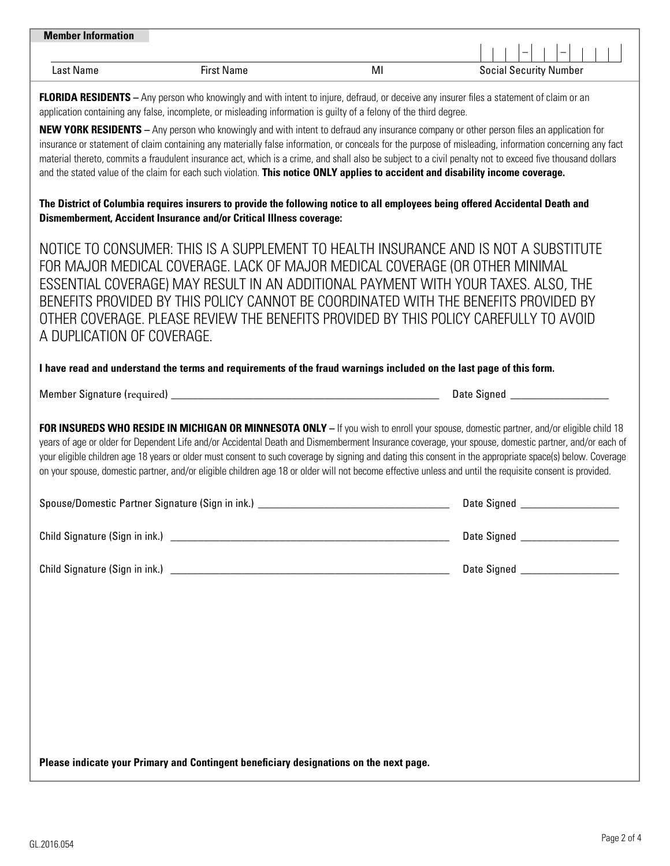| <b>Member Information</b> |                   |   |                               |
|---------------------------|-------------------|---|-------------------------------|
|                           |                   |   | -<br>_                        |
| Last Name                 | <b>First Name</b> | M | <b>Social Security Number</b> |
|                           |                   |   |                               |

**FLORIDA RESIDENTS** – Any person who knowingly and with intent to injure, defraud, or deceive any insurer files a statement of claim or an application containing any false, incomplete, or misleading information is guilty of a felony of the third degree.

**NEW YORK RESIDENTS –** Any person who knowingly and with intent to defraud any insurance company or other person files an application for insurance or statement of claim containing any materially false information, or conceals for the purpose of misleading, information concerning any fact material thereto, commits a fraudulent insurance act, which is a crime, and shall also be subject to a civil penalty not to exceed five thousand dollars and the stated value of the claim for each such violation. **This notice ONLY applies to accident and disability income coverage.**

**The District of Columbia requires insurers to provide the following notice to all employees being offered Accidental Death and Dismemberment, Accident Insurance and/or Critical Illness coverage:**

NOTICE TO CONSUMER: THIS IS A SUPPLEMENT TO HEALTH INSURANCE AND IS NOT A SUBSTITUTE FOR MAJOR MEDICAL COVERAGE. LACK OF MAJOR MEDICAL COVERAGE (OR OTHER MINIMAL ESSENTIAL COVERAGE) MAY RESULT IN AN ADDITIONAL PAYMENT WITH YOUR TAXES. ALSO, THE BENEFITS PROVIDED BY THIS POLICY CANNOT BE COORDINATED WITH THE BENEFITS PROVIDED BY OTHER COVERAGE. PLEASE REVIEW THE BENEFITS PROVIDED BY THIS POLICY CAREFULLY TO AVOID A DUPLICATION OF COVERAGE.

### **I have read and understand the terms and requirements of the fraud warnings included on the last page of this form.**

Member Signature (required) \_\_\_\_\_\_\_\_\_\_\_\_\_\_\_\_\_\_\_\_\_\_\_\_\_\_\_\_\_\_\_\_\_\_\_\_\_\_\_\_\_\_\_\_\_\_\_\_\_ Date Signed \_\_\_\_\_\_\_\_\_\_\_\_\_\_\_\_\_\_

**FOR INSUREDS WHO RESIDE IN MICHIGAN OR MINNESOTA ONLY –** If you wish to enroll your spouse, domestic partner, and/or eligible child 18 years of age or older for Dependent Life and/or Accidental Death and Dismemberment Insurance coverage, your spouse, domestic partner, and/or each of your eligible children age 18 years or older must consent to such coverage by signing and dating this consent in the appropriate space(s) below. Coverage on your spouse, domestic partner, and/or eligible children age 18 or older will not become effective unless and until the requisite consent is provided.

| Spouse/Domestic Partner Signature (Sign in ink.) | Date Signed |
|--------------------------------------------------|-------------|
| Child Signature (Sign in ink.)                   | Date Signed |
| Child Signature (Sign in ink.)                   | Date Signed |

**Please indicate your Primary and Contingent beneficiary designations on the next page.**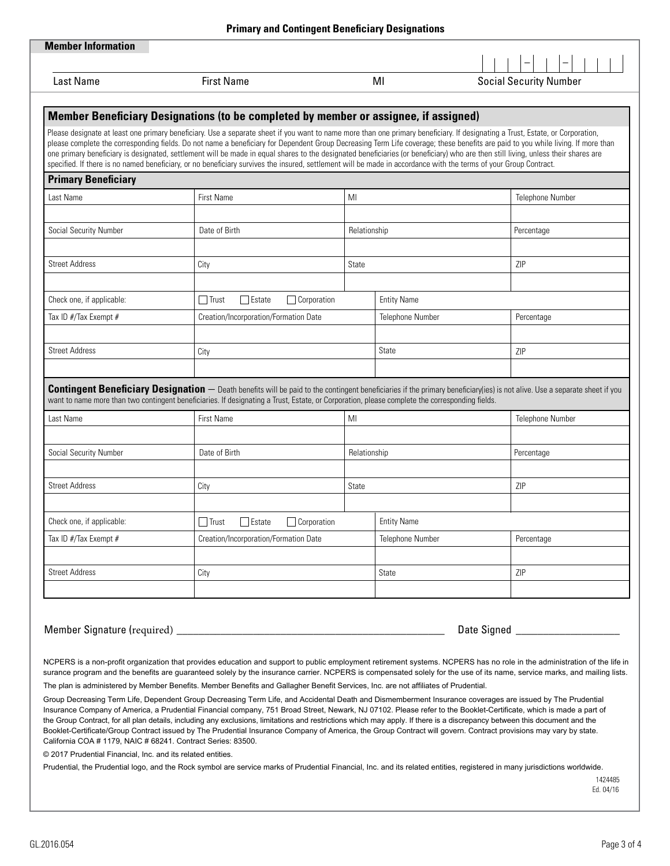|       | $\Box$ Trust<br>$\Box$ Estate<br>Corporation                                                                                                                                                                                                                                  |              | <b>Entity Name</b> |                                                                                                                                                            |
|-------|-------------------------------------------------------------------------------------------------------------------------------------------------------------------------------------------------------------------------------------------------------------------------------|--------------|--------------------|------------------------------------------------------------------------------------------------------------------------------------------------------------|
|       | Creation/Incorporation/Formation Date                                                                                                                                                                                                                                         |              | Telephone Number   | Percentage                                                                                                                                                 |
|       |                                                                                                                                                                                                                                                                               |              |                    |                                                                                                                                                            |
|       | City                                                                                                                                                                                                                                                                          |              | State              | ZIP                                                                                                                                                        |
|       |                                                                                                                                                                                                                                                                               |              |                    |                                                                                                                                                            |
|       | itingent beneficiaries. If designating a Trust, Estate, or Corporation, please complete the corresponding fields.                                                                                                                                                             |              |                    | <b>Designation</b> – Death benefits will be paid to the contingent beneficiaries if the primary beneficiary(ies) is not alive. Use a separate sheet if you |
|       | First Name                                                                                                                                                                                                                                                                    | MI           |                    | Telephone Number                                                                                                                                           |
|       |                                                                                                                                                                                                                                                                               |              |                    |                                                                                                                                                            |
|       | Date of Birth                                                                                                                                                                                                                                                                 | Relationship |                    | Percentage                                                                                                                                                 |
|       |                                                                                                                                                                                                                                                                               |              |                    |                                                                                                                                                            |
|       | City                                                                                                                                                                                                                                                                          | State        |                    | ZIP                                                                                                                                                        |
|       |                                                                                                                                                                                                                                                                               |              |                    |                                                                                                                                                            |
|       | Corporation<br>$\Box$ Trust<br>  Estate                                                                                                                                                                                                                                       |              | <b>Entity Name</b> |                                                                                                                                                            |
|       | Creation/Incorporation/Formation Date                                                                                                                                                                                                                                         |              | Telephone Number   | Percentage                                                                                                                                                 |
|       |                                                                                                                                                                                                                                                                               |              |                    |                                                                                                                                                            |
|       | City                                                                                                                                                                                                                                                                          |              | State              | ZIP                                                                                                                                                        |
|       |                                                                                                                                                                                                                                                                               |              |                    |                                                                                                                                                            |
|       |                                                                                                                                                                                                                                                                               |              |                    |                                                                                                                                                            |
| ired) |                                                                                                                                                                                                                                                                               |              |                    |                                                                                                                                                            |
|       |                                                                                                                                                                                                                                                                               |              |                    |                                                                                                                                                            |
|       |                                                                                                                                                                                                                                                                               |              |                    | ation that provides education and support to public employment retirement systems. NCPERS has no role in the administration of the life in                 |
|       | mber Benefits. Member Benefits and Gallagher Benefit Services, Inc. are not affiliates of Prudential.                                                                                                                                                                         |              |                    | its are guaranteed solely by the insurance carrier. NCPERS is compensated solely for the use of its name, service marks, and mailing lists.                |
|       | ependent Group Decreasing Term Life, and Accidental Death and Dismemberment Insurance coverages are issued by The Prudential                                                                                                                                                  |              |                    |                                                                                                                                                            |
|       | , a Prudential Financial company, 751 Broad Street, Newark, NJ 07102. Please refer to the Booklet-Certificate, which is made a part of                                                                                                                                        |              |                    |                                                                                                                                                            |
|       | letails, including any exclusions, limitations and restrictions which may apply. If there is a discrepancy between this document and the<br>act issued by The Prudential Insurance Company of America, the Group Contract will govern. Contract provisions may vary by state. |              |                    |                                                                                                                                                            |
|       | 68241. Contract Series: 83500.                                                                                                                                                                                                                                                |              |                    |                                                                                                                                                            |
|       | and its related entities.<br>and the Rock symbol are service marks of Prudential Financial, Inc. and its related entities, registered in many jurisdictions worldwide.                                                                                                        |              |                    |                                                                                                                                                            |
|       |                                                                                                                                                                                                                                                                               |              |                    | 1424485                                                                                                                                                    |
|       |                                                                                                                                                                                                                                                                               |              |                    | Ed. 04/16                                                                                                                                                  |

 $|-|$   $|$   $|$   $|$   $|$   $|$   $|$   $|$   $|$   $|$ 

 $\overline{\phantom{a}}$  $\Box$ 

| <b>Last Name</b>           | <b>First Name</b>                                                                                                                                                                                                                                                                                                                                                                                                                                                                                                                                                                                                                                                                                                             |                         | MI                      | <b>Social Security Number</b> |  |
|----------------------------|-------------------------------------------------------------------------------------------------------------------------------------------------------------------------------------------------------------------------------------------------------------------------------------------------------------------------------------------------------------------------------------------------------------------------------------------------------------------------------------------------------------------------------------------------------------------------------------------------------------------------------------------------------------------------------------------------------------------------------|-------------------------|-------------------------|-------------------------------|--|
|                            | <b>Member Beneficiary Designations (to be completed by member or assignee, if assigned)</b>                                                                                                                                                                                                                                                                                                                                                                                                                                                                                                                                                                                                                                   |                         |                         |                               |  |
|                            | Please designate at least one primary beneficiary. Use a separate sheet if you want to name more than one primary beneficiary. If designating a Trust, Estate, or Corporation,<br>please complete the corresponding fields. Do not name a beneficiary for Dependent Group Decreasing Term Life coverage; these benefits are paid to you while living. If more than<br>one primary beneficiary is designated, settlement will be made in equal shares to the designated beneficiaries (or beneficiary) who are then still living, unless their shares are<br>specified. If there is no named beneficiary, or no beneficiary survives the insured, settlement will be made in accordance with the terms of your Group Contract. |                         |                         |                               |  |
| <b>Primary Beneficiary</b> |                                                                                                                                                                                                                                                                                                                                                                                                                                                                                                                                                                                                                                                                                                                               |                         |                         |                               |  |
| Last Name                  | <b>First Name</b>                                                                                                                                                                                                                                                                                                                                                                                                                                                                                                                                                                                                                                                                                                             | MI                      |                         | <b>Telephone Number</b>       |  |
| Social Security Number     | Date of Birth                                                                                                                                                                                                                                                                                                                                                                                                                                                                                                                                                                                                                                                                                                                 | Relationship            |                         | Percentage                    |  |
| <b>Street Address</b>      | City                                                                                                                                                                                                                                                                                                                                                                                                                                                                                                                                                                                                                                                                                                                          | State                   |                         | ZIP                           |  |
| Check one, if applicable:  | $\exists$ Estate<br>l Trust                                                                                                                                                                                                                                                                                                                                                                                                                                                                                                                                                                                                                                                                                                   | $\sqsupset$ Corporation | <b>Entity Name</b>      |                               |  |
| Tax ID #/Tax Exempt #      | Creation/Incorporation/Formation Date                                                                                                                                                                                                                                                                                                                                                                                                                                                                                                                                                                                                                                                                                         |                         | <b>Telephone Number</b> | Percentage                    |  |
|                            |                                                                                                                                                                                                                                                                                                                                                                                                                                                                                                                                                                                                                                                                                                                               |                         |                         |                               |  |
| <b>Street Address</b>      | City                                                                                                                                                                                                                                                                                                                                                                                                                                                                                                                                                                                                                                                                                                                          |                         | State                   | <b>ZIP</b>                    |  |
|                            |                                                                                                                                                                                                                                                                                                                                                                                                                                                                                                                                                                                                                                                                                                                               |                         |                         |                               |  |
|                            | <b>Contingent Beneficiary Designation</b> – Death benefits will be paid to the contingent beneficiaries if the primary beneficiary(ies) is not alive. Use a separate sheet if you<br>want to name more than two contingent beneficiaries. If designating a Trust, Estate, or Corporation, please complete the corresponding fields.                                                                                                                                                                                                                                                                                                                                                                                           |                         |                         |                               |  |
| Last Name                  | <b>First Name</b>                                                                                                                                                                                                                                                                                                                                                                                                                                                                                                                                                                                                                                                                                                             | MI                      |                         | Telephone Number              |  |
|                            |                                                                                                                                                                                                                                                                                                                                                                                                                                                                                                                                                                                                                                                                                                                               |                         |                         |                               |  |
| Social Security Number     | Date of Birth                                                                                                                                                                                                                                                                                                                                                                                                                                                                                                                                                                                                                                                                                                                 |                         | Relationship            | Percentage                    |  |
|                            |                                                                                                                                                                                                                                                                                                                                                                                                                                                                                                                                                                                                                                                                                                                               |                         |                         |                               |  |
| <b>Street Address</b>      | City                                                                                                                                                                                                                                                                                                                                                                                                                                                                                                                                                                                                                                                                                                                          | State                   |                         | ZIP                           |  |
|                            |                                                                                                                                                                                                                                                                                                                                                                                                                                                                                                                                                                                                                                                                                                                               |                         |                         |                               |  |
| Check one, if applicable:  | Trust<br>Estate                                                                                                                                                                                                                                                                                                                                                                                                                                                                                                                                                                                                                                                                                                               | Corporation             | <b>Entity Name</b>      |                               |  |
| Tax ID #/Tax Exempt #      | Creation/Incorporation/Formation Date                                                                                                                                                                                                                                                                                                                                                                                                                                                                                                                                                                                                                                                                                         |                         | <b>Telephone Number</b> | Percentage                    |  |
|                            |                                                                                                                                                                                                                                                                                                                                                                                                                                                                                                                                                                                                                                                                                                                               |                         |                         |                               |  |

Member Signature (require

Street Address

**Member Information**

NCPERS is a non-profit organiz surance program and the benefits are guarance carrier. NOPE

The plan is administered by Men

Group Decreasing Term Life, De Insurance Company of America, the Group Contract, for all plan details Booklet-Certificate/Group Contra California COA  $#$  1179, NAIC  $#$ 

© 2017 Prudential Financial, Inc.

Prudential, the Prudential logo, and Rock symbol are service matted in Prudential, Inc. and its relations rela